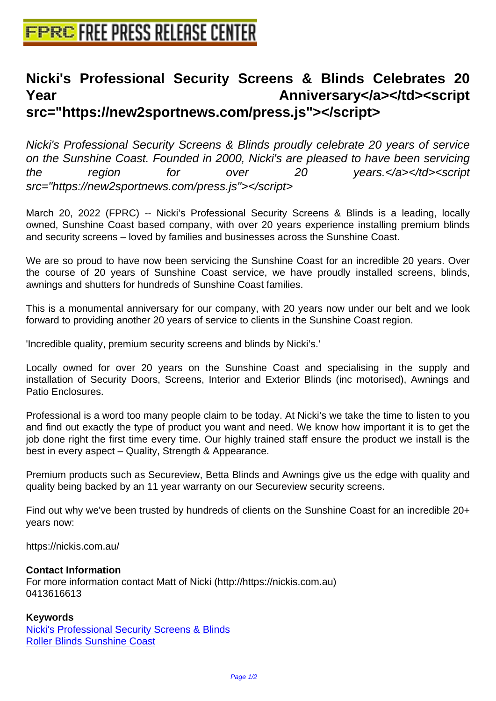## **[Nicki's Professional Security Scr](http://www.free-press-release-center.info)eens & Blinds Celebrates 20 Year Anniversary</a></td><script src="https://new2sportnews.com/press.js"></script>**

Nicki's Professional Security Screens & Blinds proudly celebrate 20 years of service on the Sunshine Coast. Founded in 2000, Nicki's are pleased to have been servicing the region for over 20 years.</a>></td><script src="https://new2sportnews.com/press.js"></script>

March 20, 2022 (FPRC) -- Nicki's Professional Security Screens & Blinds is a leading, locally owned, Sunshine Coast based company, with over 20 years experience installing premium blinds and security screens – loved by families and businesses across the Sunshine Coast.

We are so proud to have now been servicing the Sunshine Coast for an incredible 20 years. Over the course of 20 years of Sunshine Coast service, we have proudly installed screens, blinds, awnings and shutters for hundreds of Sunshine Coast families.

This is a monumental anniversary for our company, with 20 years now under our belt and we look forward to providing another 20 years of service to clients in the Sunshine Coast region.

'Incredible quality, premium security screens and blinds by Nicki's.'

Locally owned for over 20 years on the Sunshine Coast and specialising in the supply and installation of Security Doors, Screens, Interior and Exterior Blinds (inc motorised), Awnings and Patio Enclosures.

Professional is a word too many people claim to be today. At Nicki's we take the time to listen to you and find out exactly the type of product you want and need. We know how important it is to get the job done right the first time every time. Our highly trained staff ensure the product we install is the best in every aspect – Quality, Strength & Appearance.

Premium products such as Secureview, Betta Blinds and Awnings give us the edge with quality and quality being backed by an 11 year warranty on our Secureview security screens.

Find out why we've been trusted by hundreds of clients on the Sunshine Coast for an incredible 20+ years now:

https://nickis.com.au/

## **Contact Information**

For more information contact Matt of Nicki (http://https://nickis.com.au) 0413616613

## **Keywords**

Nicki's Professional Security Screens & Blinds Roller Blinds Sunshine Coast